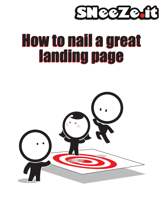

#### How to nail a great landing page How to nail a great landing page

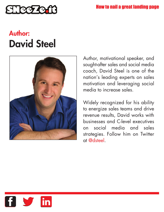

# **Author: David Steel**



Author, motivational speaker, and sought-after sales and social media coach, David Steel is one of the nation's leading experts on sales motivation and leveraging social media to increase sales.

Widely recognized for his ability to energize sales teams and drive revenue results, David works with businesses and C-level executives on social media and sales strategies. Follow him on Twitter at @dsteel.

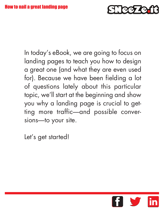

In today's eBook, we are going to focus on landing pages to teach you how to design a great one (and what they are even used for). Because we have been fielding a lot of questions lately about this particular topic, we'll start at the beginning and show you why a landing page is crucial to getting more traffic—and possible conversions—to your site.

Let's get started!

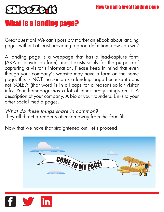

### What is a landing page?

Great question! We can't possibly market an eBook about landing pages without at least providing a good definition, now can we?

A landing page is a webpage that has a lead-capture form (AKA a conversion form) and it exists solely for the purpose of capturing a visitor's information. Please keep in mind that even though your company's website may have a form on the home page, this is NOT the same as a landing page because it does not SOLELY (that word is in all caps for a reason) solicit visitor info. Your homepage has a lot of other pretty things on it. A description of your company. A bio of your founders. Links to your other social media pages.

*What do these things share in common?* They all direct a reader's attention away from the form-fill.

Now that we have that straightened out, let's proceed!



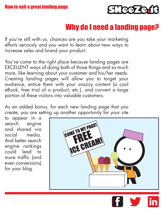

#### Why do I need a landing page?

If you're still with us, chances are you take your marketing efforts seriously and you want to learn about new ways to increase sales and brand your product.

You've come to the right place because landing pages are EXCELLENT ways of doing both of those things and so much more, like learning about your customer and his/her needs. Creating landing pages will allow you to target your audience, entice them with your snazzy content (a cool eBook, free trial of a product, etc.), and convert a large portion of these visitors into valuable customers.

As an added bonus, for each new landing page that you create, you are setting up another opportunity for your site

to appear in a search engine and shared via social media. And better search engine rankings could lead to more traffic (and even conversions) for your blog.

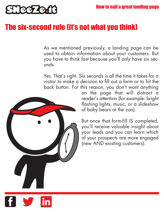

#### The six-second rule (it's not what you think)

As we mentioned previously, a landing page can be used to obtain information about your customers. But you have to think fast because you'll only have six seconds.

Yes. That's right. Six seconds is all the time it takes for a visitor to make a decision to fill out a form or to hit the back button. For this reason, you don't want anything



on the page that will distract a reader's attention (for example: bright flashing lights, music, or a slideshow of baby bears at the zoo).

But once that form-fill IS completed, you'll receive valuable insight about your leads and you can learn which of your prospects are more engaged (new AND existing customers).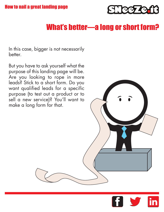

#### What's better—a long or short form?

In this case, bigger is not necessarily better.

But you have to ask yourself what the purpose of this landing page will be. Are you looking to rope in more leads? Stick to a short form. Do you want qualified leads for a specific purpose (to test out a product or to sell a new service)? You'll want to make a long form for that.

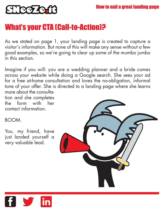

#### What's your CTA (Call-to-Action)?

As we stated on page 1, your landing page is created to capture a visitor's information. But none of this will make any sense without a few good examples, so we're going to clear up some of the mumbo jumbo in this section.

Imagine if you will: you are a wedding planner and a bride comes across your website while doing a Google search. She sees your ad for a free at-home consultation and loves the no-obligation, informal tone of your offer. She is directed to a landing page where she learns more about the consultation and she completes

the form with her contact information.

BOOM.

You, my friend, have just landed yourself a very valuable lead.



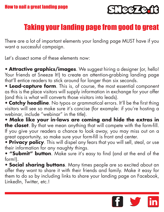

## Taking your landing page from good to great

There are a lot of important elements your landing page MUST have if you want a successful campaign.

Let's dissect some of these elements now:

• **Attractive graphics/images**. We suggest hiring a designer (or, hello! Your friends at Sneeze It!) to create an attention-grabbing landing page that'll entice readers to stick around for longer than six seconds.

• **Lead-capture form**. This is, of course, the most essential component as this is the place visitors will supply information in exchange for your offer (and this is what will converts those visitors into leads).

• **Catchy headline**. No typos or grammatical errors. It'll be the first thing visitors will see so make sure it's concise (for example: if you're hosting a webinar, include "webinar" in the title).

• **Make like your in-laws are coming and hide the extras in the closet**. By that we mean anything that will compete with the form-fill. If you give your readers a chance to look away, you may miss out on a great opportunity, so make sure your form-fill is front and center.

• **Privacy policy**. This will dispel any fears that you will sell, steal, or use their information for any naughty things.

• **"Submit" button**. Make sure it's easy to find (and at the end of the form!).

• **Social sharing buttons**. Many times people are so excited about an offer they want to share it with their friends and family. Make it easy for them to do so by including links to share your landing page on Facebook, LinkedIn, Twitter, etc.!

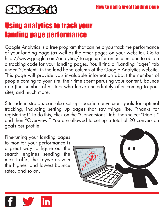

## Using analytics to track your landing page performance

Google Analytics is a free program that can help you track the performance of your landing page (as well as the other pages on your website). Go to http://www.google.com/analytics/ to sign up for an account and to obtain a tracking code for your landing pages. You'll find a "Landing Pages" tab under "Content" in the land-hand column of the Google Analytics website. This page will provide you invaluable information about the number of people coming to your site, their time spent perusing your content, bounce rate (the number of visitors who leave immediately after coming to your site), and much more.

Site administrators can also set up specific conversion goals for optimal tracking, including setting up pages that say things like, "thanks for registering!" To do this, click on the "Conversions" tab, then select "Goals," and then "Overview." You are allowed to set up a total of 20 conversion goals per profile.

Fine-tuning your landing pages to monitor your performance is a great way to figure out the search engines sending the most traffic, the keywords with the highest and lowest bounce rates, and so on.



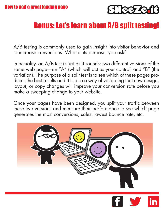

## Bonus: Let's learn about A/B split testing!

A/B testing is commonly used to gain insight into visitor behavior and to increase conversions. What is its purpose, you ask?

In actuality, an A/B test is just as it sounds: two different versions of the same web page—an "A" (which will act as your control) and "B" (the variation). The purpose of a split test is to see which of these pages produces the best results and it is also a way of validating that new design, layout, or copy changes will improve your conversion rate before you make a sweeping change to your website.

Once your pages have been designed, you split your traffic between these two versions and measure their performance to see which page generates the most conversions, sales, lowest bounce rate, etc.